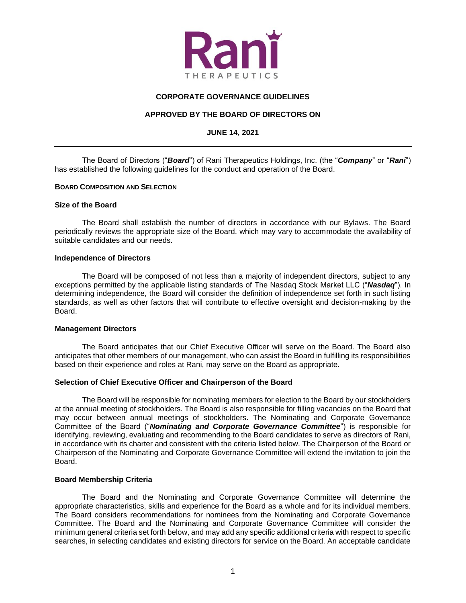

# **CORPORATE GOVERNANCE GUIDELINES**

# **APPROVED BY THE BOARD OF DIRECTORS ON**

# **JUNE 14, 2021**

The Board of Directors ("*Board*") of Rani Therapeutics Holdings, Inc. (the "*Company*" or "*Rani*") has established the following guidelines for the conduct and operation of the Board.

# **BOARD COMPOSITION AND SELECTION**

### **Size of the Board**

The Board shall establish the number of directors in accordance with our Bylaws. The Board periodically reviews the appropriate size of the Board, which may vary to accommodate the availability of suitable candidates and our needs.

# **Independence of Directors**

The Board will be composed of not less than a majority of independent directors, subject to any exceptions permitted by the applicable listing standards of The Nasdaq Stock Market LLC ("*Nasdaq*"). In determining independence, the Board will consider the definition of independence set forth in such listing standards, as well as other factors that will contribute to effective oversight and decision-making by the Board.

# **Management Directors**

The Board anticipates that our Chief Executive Officer will serve on the Board. The Board also anticipates that other members of our management, who can assist the Board in fulfilling its responsibilities based on their experience and roles at Rani, may serve on the Board as appropriate.

# **Selection of Chief Executive Officer and Chairperson of the Board**

The Board will be responsible for nominating members for election to the Board by our stockholders at the annual meeting of stockholders. The Board is also responsible for filling vacancies on the Board that may occur between annual meetings of stockholders. The Nominating and Corporate Governance Committee of the Board ("*Nominating and Corporate Governance Committee*") is responsible for identifying, reviewing, evaluating and recommending to the Board candidates to serve as directors of Rani, in accordance with its charter and consistent with the criteria listed below. The Chairperson of the Board or Chairperson of the Nominating and Corporate Governance Committee will extend the invitation to join the Board.

### **Board Membership Criteria**

The Board and the Nominating and Corporate Governance Committee will determine the appropriate characteristics, skills and experience for the Board as a whole and for its individual members. The Board considers recommendations for nominees from the Nominating and Corporate Governance Committee. The Board and the Nominating and Corporate Governance Committee will consider the minimum general criteria set forth below, and may add any specific additional criteria with respect to specific searches, in selecting candidates and existing directors for service on the Board. An acceptable candidate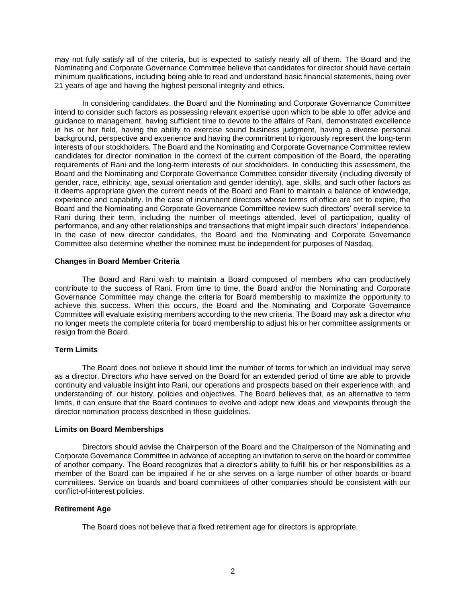may not fully satisfy all of the criteria, but is expected to satisfy nearly all of them. The Board and the Nominating and Corporate Governance Committee believe that candidates for director should have certain minimum qualifications, including being able to read and understand basic financial statements, being over 21 years of age and having the highest personal integrity and ethics.

In considering candidates, the Board and the Nominating and Corporate Governance Committee intend to consider such factors as possessing relevant expertise upon which to be able to offer advice and guidance to management, having sufficient time to devote to the affairs of Rani, demonstrated excellence in his or her field, having the ability to exercise sound business judgment, having a diverse personal background, perspective and experience and having the commitment to rigorously represent the long-term interests of our stockholders. The Board and the Nominating and Corporate Governance Committee review candidates for director nomination in the context of the current composition of the Board, the operating requirements of Rani and the long-term interests of our stockholders. In conducting this assessment, the Board and the Nominating and Corporate Governance Committee consider diversity (including diversity of gender, race, ethnicity, age, sexual orientation and gender identity), age, skills, and such other factors as it deems appropriate given the current needs of the Board and Rani to maintain a balance of knowledge, experience and capability. In the case of incumbent directors whose terms of office are set to expire, the Board and the Nominating and Corporate Governance Committee review such directors' overall service to Rani during their term, including the number of meetings attended, level of participation, quality of performance, and any other relationships and transactions that might impair such directors' independence. In the case of new director candidates, the Board and the Nominating and Corporate Governance Committee also determine whether the nominee must be independent for purposes of Nasdaq.

# **Changes in Board Member Criteria**

The Board and Rani wish to maintain a Board composed of members who can productively contribute to the success of Rani. From time to time, the Board and/or the Nominating and Corporate Governance Committee may change the criteria for Board membership to maximize the opportunity to achieve this success. When this occurs, the Board and the Nominating and Corporate Governance Committee will evaluate existing members according to the new criteria. The Board may ask a director who no longer meets the complete criteria for board membership to adjust his or her committee assignments or resign from the Board.

# **Term Limits**

The Board does not believe it should limit the number of terms for which an individual may serve as a director. Directors who have served on the Board for an extended period of time are able to provide continuity and valuable insight into Rani, our operations and prospects based on their experience with, and understanding of, our history, policies and objectives. The Board believes that, as an alternative to term limits, it can ensure that the Board continues to evolve and adopt new ideas and viewpoints through the director nomination process described in these guidelines.

### **Limits on Board Memberships**

Directors should advise the Chairperson of the Board and the Chairperson of the Nominating and Corporate Governance Committee in advance of accepting an invitation to serve on the board or committee of another company. The Board recognizes that a director's ability to fulfill his or her responsibilities as a member of the Board can be impaired if he or she serves on a large number of other boards or board committees. Service on boards and board committees of other companies should be consistent with our conflict-of-interest policies.

# **Retirement Age**

The Board does not believe that a fixed retirement age for directors is appropriate.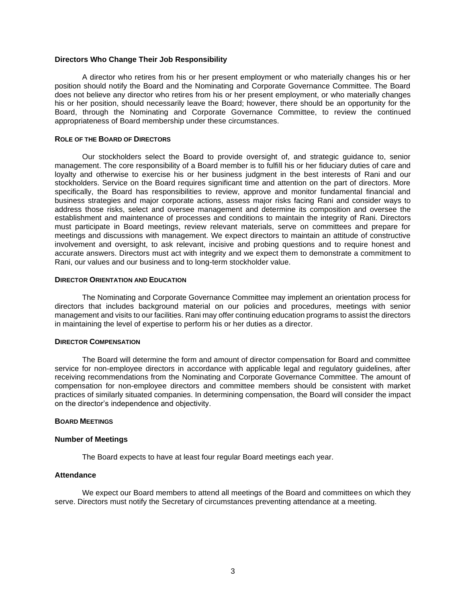### **Directors Who Change Their Job Responsibility**

A director who retires from his or her present employment or who materially changes his or her position should notify the Board and the Nominating and Corporate Governance Committee. The Board does not believe any director who retires from his or her present employment, or who materially changes his or her position, should necessarily leave the Board; however, there should be an opportunity for the Board, through the Nominating and Corporate Governance Committee, to review the continued appropriateness of Board membership under these circumstances.

#### **ROLE OF THE BOARD OF DIRECTORS**

Our stockholders select the Board to provide oversight of, and strategic guidance to, senior management. The core responsibility of a Board member is to fulfill his or her fiduciary duties of care and loyalty and otherwise to exercise his or her business judgment in the best interests of Rani and our stockholders. Service on the Board requires significant time and attention on the part of directors. More specifically, the Board has responsibilities to review, approve and monitor fundamental financial and business strategies and major corporate actions, assess major risks facing Rani and consider ways to address those risks, select and oversee management and determine its composition and oversee the establishment and maintenance of processes and conditions to maintain the integrity of Rani. Directors must participate in Board meetings, review relevant materials, serve on committees and prepare for meetings and discussions with management. We expect directors to maintain an attitude of constructive involvement and oversight, to ask relevant, incisive and probing questions and to require honest and accurate answers. Directors must act with integrity and we expect them to demonstrate a commitment to Rani, our values and our business and to long-term stockholder value.

### **DIRECTOR ORIENTATION AND EDUCATION**

The Nominating and Corporate Governance Committee may implement an orientation process for directors that includes background material on our policies and procedures, meetings with senior management and visits to our facilities. Rani may offer continuing education programs to assist the directors in maintaining the level of expertise to perform his or her duties as a director.

### **DIRECTOR COMPENSATION**

The Board will determine the form and amount of director compensation for Board and committee service for non-employee directors in accordance with applicable legal and regulatory guidelines, after receiving recommendations from the Nominating and Corporate Governance Committee. The amount of compensation for non-employee directors and committee members should be consistent with market practices of similarly situated companies. In determining compensation, the Board will consider the impact on the director's independence and objectivity.

### **BOARD MEETINGS**

### **Number of Meetings**

The Board expects to have at least four regular Board meetings each year.

# **Attendance**

We expect our Board members to attend all meetings of the Board and committees on which they serve. Directors must notify the Secretary of circumstances preventing attendance at a meeting.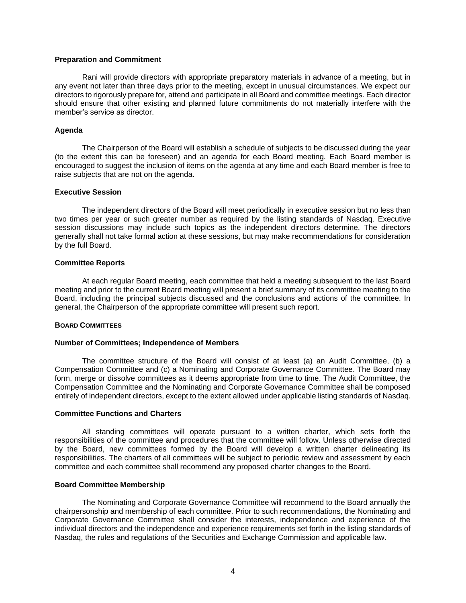#### **Preparation and Commitment**

Rani will provide directors with appropriate preparatory materials in advance of a meeting, but in any event not later than three days prior to the meeting, except in unusual circumstances. We expect our directors to rigorously prepare for, attend and participate in all Board and committee meetings. Each director should ensure that other existing and planned future commitments do not materially interfere with the member's service as director.

#### **Agenda**

The Chairperson of the Board will establish a schedule of subjects to be discussed during the year (to the extent this can be foreseen) and an agenda for each Board meeting. Each Board member is encouraged to suggest the inclusion of items on the agenda at any time and each Board member is free to raise subjects that are not on the agenda.

#### **Executive Session**

The independent directors of the Board will meet periodically in executive session but no less than two times per year or such greater number as required by the listing standards of Nasdaq. Executive session discussions may include such topics as the independent directors determine. The directors generally shall not take formal action at these sessions, but may make recommendations for consideration by the full Board.

#### **Committee Reports**

At each regular Board meeting, each committee that held a meeting subsequent to the last Board meeting and prior to the current Board meeting will present a brief summary of its committee meeting to the Board, including the principal subjects discussed and the conclusions and actions of the committee. In general, the Chairperson of the appropriate committee will present such report.

#### **BOARD COMMITTEES**

#### **Number of Committees; Independence of Members**

The committee structure of the Board will consist of at least (a) an Audit Committee, (b) a Compensation Committee and (c) a Nominating and Corporate Governance Committee. The Board may form, merge or dissolve committees as it deems appropriate from time to time. The Audit Committee, the Compensation Committee and the Nominating and Corporate Governance Committee shall be composed entirely of independent directors, except to the extent allowed under applicable listing standards of Nasdaq.

#### **Committee Functions and Charters**

All standing committees will operate pursuant to a written charter, which sets forth the responsibilities of the committee and procedures that the committee will follow. Unless otherwise directed by the Board, new committees formed by the Board will develop a written charter delineating its responsibilities. The charters of all committees will be subject to periodic review and assessment by each committee and each committee shall recommend any proposed charter changes to the Board.

#### **Board Committee Membership**

The Nominating and Corporate Governance Committee will recommend to the Board annually the chairpersonship and membership of each committee. Prior to such recommendations, the Nominating and Corporate Governance Committee shall consider the interests, independence and experience of the individual directors and the independence and experience requirements set forth in the listing standards of Nasdaq, the rules and regulations of the Securities and Exchange Commission and applicable law.